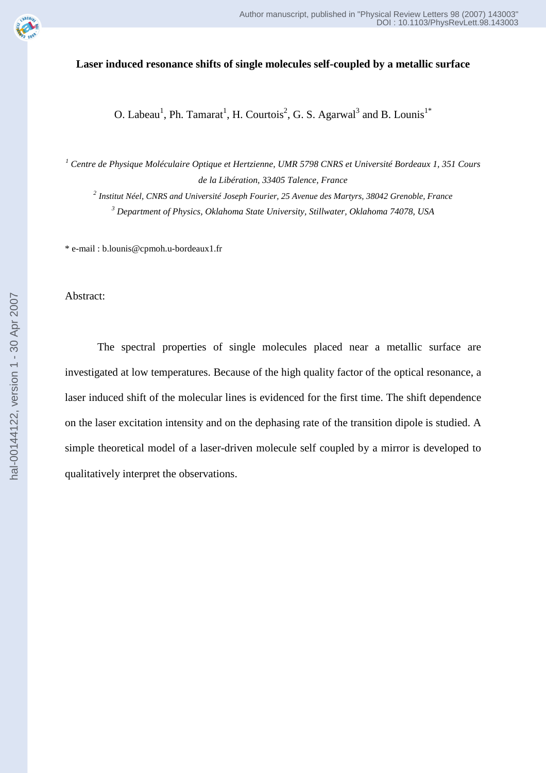

## **Laser induced resonance shifts of single molecules self-coupled by a metallic surface**

O. Labeau<sup>1</sup>, Ph. Tamarat<sup>1</sup>, H. Courtois<sup>2</sup>, G. S. Agarwal<sup>3</sup> and B. Lounis<sup>1\*</sup>

<sup>1</sup> Centre de Physique Moléculaire Optique et Hertzienne, UMR 5798 CNRS et Université Bordeaux 1, 351 Cours *de la Libération, 33405 Talence, France* 

*2 Institut Néel, CNRS and Université Joseph Fourier, 25 Avenue des Martyrs, 38042 Grenoble, France 3 Department of Physics, Oklahoma State University, Stillwater, Oklahoma 74078, USA* 

\* e-mail : b.lounis@cpmoh.u-bordeaux1.fr

Abstract:

The spectral properties of single molecules placed near a metallic surface are investigated at low temperatures. Because of the high quality factor of the optical resonance, a laser induced shift of the molecular lines is evidenced for the first time. The shift dependence on the laser excitation intensity and on the dephasing rate of the transition dipole is studied. A simple theoretical model of a laser-driven molecule self coupled by a mirror is developed to qualitatively interpret the observations.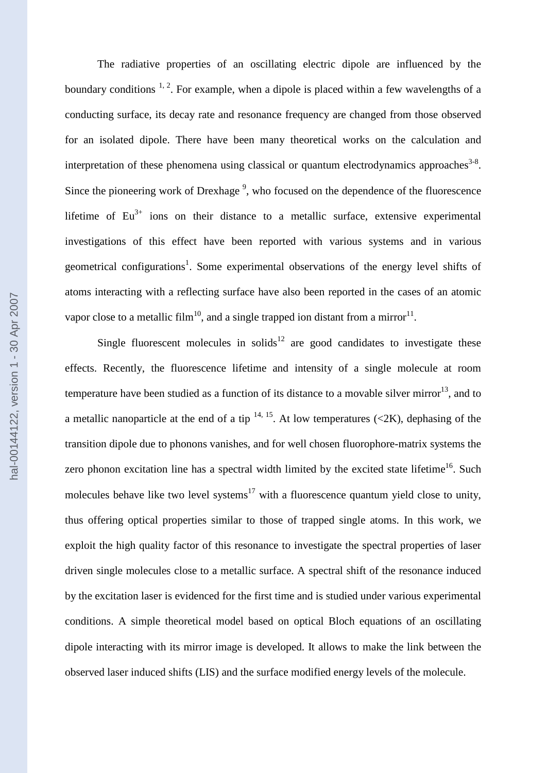The radiative properties of an oscillating electric dipole are influenced by the boundary conditions  $1, 2$ . For example, when a dipole is placed within a few wavelengths of a conducting surface, its decay rate and resonance frequency are changed from those observed for an isolated dipole. There have been many theoretical works on the calculation and interpretation of these phenomena using classical or quantum electrodynamics approaches $3-8$ . Since the pioneering work of Drexhage<sup>9</sup>, who focused on the dependence of the fluorescence lifetime of  $Eu^{3+}$  ions on their distance to a metallic surface, extensive experimental investigations of this effect have been reported with various systems and in various geometrical configurations<sup>1</sup>. Some experimental observations of the energy level shifts of atoms interacting with a reflecting surface have also been reported in the cases of an atomic vapor close to a metallic film<sup>10</sup>, and a single trapped ion distant from a mirror<sup>11</sup>.

Single fluorescent molecules in solids<sup>12</sup> are good candidates to investigate these effects. Recently, the fluorescence lifetime and intensity of a single molecule at room temperature have been studied as a function of its distance to a movable silver mirror<sup>13</sup>, and to a metallic nanoparticle at the end of a tip  $14$ ,  $15$ . At low temperatures (<2K), dephasing of the transition dipole due to phonons vanishes, and for well chosen fluorophore-matrix systems the zero phonon excitation line has a spectral width limited by the excited state lifetime<sup>16</sup>. Such molecules behave like two level systems<sup>17</sup> with a fluorescence quantum yield close to unity, thus offering optical properties similar to those of trapped single atoms. In this work, we exploit the high quality factor of this resonance to investigate the spectral properties of laser driven single molecules close to a metallic surface. A spectral shift of the resonance induced by the excitation laser is evidenced for the first time and is studied under various experimental conditions. A simple theoretical model based on optical Bloch equations of an oscillating dipole interacting with its mirror image is developed. It allows to make the link between the observed laser induced shifts (LIS) and the surface modified energy levels of the molecule.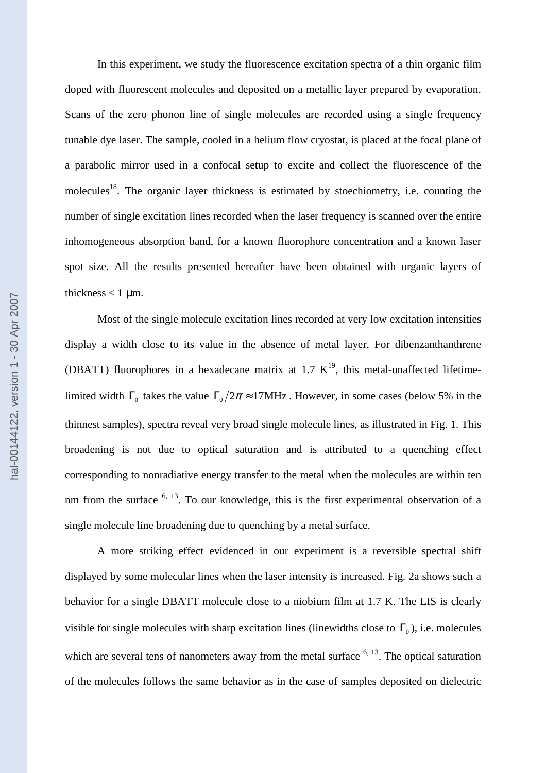In this experiment, we study the fluorescence excitation spectra of a thin organic film doped with fluorescent molecules and deposited on a metallic layer prepared by evaporation. Scans of the zero phonon line of single molecules are recorded using a single frequency tunable dye laser. The sample, cooled in a helium flow cryostat, is placed at the focal plane of a parabolic mirror used in a confocal setup to excite and collect the fluorescence of the molecules<sup>18</sup>. The organic layer thickness is estimated by stoechiometry, i.e. counting the number of single excitation lines recorded when the laser frequency is scanned over the entire inhomogeneous absorption band, for a known fluorophore concentration and a known laser spot size. All the results presented hereafter have been obtained with organic layers of thickness  $< 1$  µm.

Most of the single molecule excitation lines recorded at very low excitation intensities display a width close to its value in the absence of metal layer. For dibenzanthanthrene (DBATT) fluorophores in a hexadecane matrix at 1.7  $K^{19}$ , this metal-unaffected lifetimelimited width  $\Gamma_0$  takes the value  $\Gamma_0/2\pi \approx 17$ MHz. However, in some cases (below 5% in the thinnest samples), spectra reveal very broad single molecule lines, as illustrated in Fig. 1. This broadening is not due to optical saturation and is attributed to a quenching effect corresponding to nonradiative energy transfer to the metal when the molecules are within ten nm from the surface  $6, 13$ . To our knowledge, this is the first experimental observation of a single molecule line broadening due to quenching by a metal surface.

A more striking effect evidenced in our experiment is a reversible spectral shift displayed by some molecular lines when the laser intensity is increased. Fig. 2a shows such a behavior for a single DBATT molecule close to a niobium film at 1.7 K. The LIS is clearly visible for single molecules with sharp excitation lines (linewidths close to  $\Gamma_0$ ), i.e. molecules which are several tens of nanometers away from the metal surface  $6, 13$ . The optical saturation of the molecules follows the same behavior as in the case of samples deposited on dielectric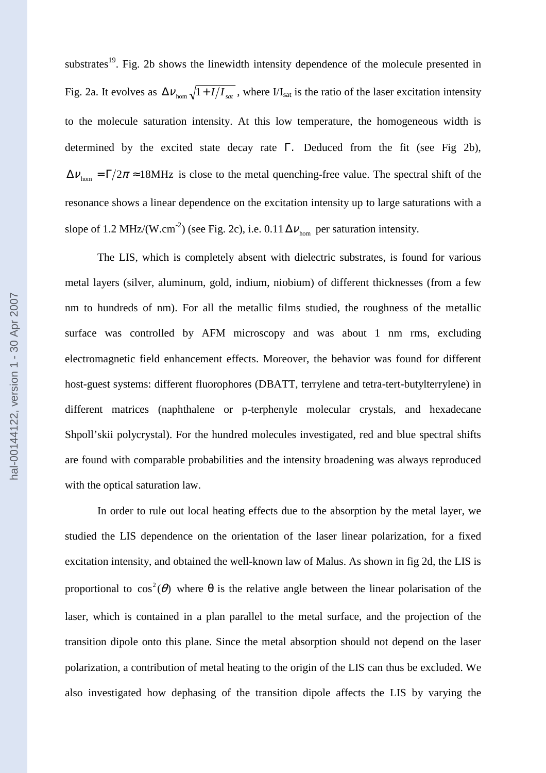substrates<sup>19</sup>. Fig. 2b shows the linewidth intensity dependence of the molecule presented in Fig. 2a. It evolves as  $\Delta V_{\text{hom}}\sqrt{1+I/I_{sat}}$ , where  $I/I_{sat}$  is the ratio of the laser excitation intensity to the molecule saturation intensity. At this low temperature, the homogeneous width is determined by the excited state decay rate Γ. Deduced from the fit (see Fig 2b),  $\Delta v_{\text{hom}} = \Gamma/2\pi \approx 18\text{MHz}$  is close to the metal quenching-free value. The spectral shift of the resonance shows a linear dependence on the excitation intensity up to large saturations with a slope of 1.2 MHz/(W.cm<sup>-2</sup>) (see Fig. 2c), i.e.  $0.11 \Delta v_{\text{hom}}$  per saturation intensity.

 The LIS, which is completely absent with dielectric substrates, is found for various metal layers (silver, aluminum, gold, indium, niobium) of different thicknesses (from a few nm to hundreds of nm). For all the metallic films studied, the roughness of the metallic surface was controlled by AFM microscopy and was about 1 nm rms, excluding electromagnetic field enhancement effects. Moreover, the behavior was found for different host-guest systems: different fluorophores (DBATT, terrylene and tetra-tert-butylterrylene) in different matrices (naphthalene or p-terphenyle molecular crystals, and hexadecane Shpoll'skii polycrystal). For the hundred molecules investigated, red and blue spectral shifts are found with comparable probabilities and the intensity broadening was always reproduced with the optical saturation law.

In order to rule out local heating effects due to the absorption by the metal layer, we studied the LIS dependence on the orientation of the laser linear polarization, for a fixed excitation intensity, and obtained the well-known law of Malus. As shown in fig 2d, the LIS is proportional to  $cos^2(\theta)$  where  $\theta$  is the relative angle between the linear polarisation of the laser, which is contained in a plan parallel to the metal surface, and the projection of the transition dipole onto this plane. Since the metal absorption should not depend on the laser polarization, a contribution of metal heating to the origin of the LIS can thus be excluded. We also investigated how dephasing of the transition dipole affects the LIS by varying the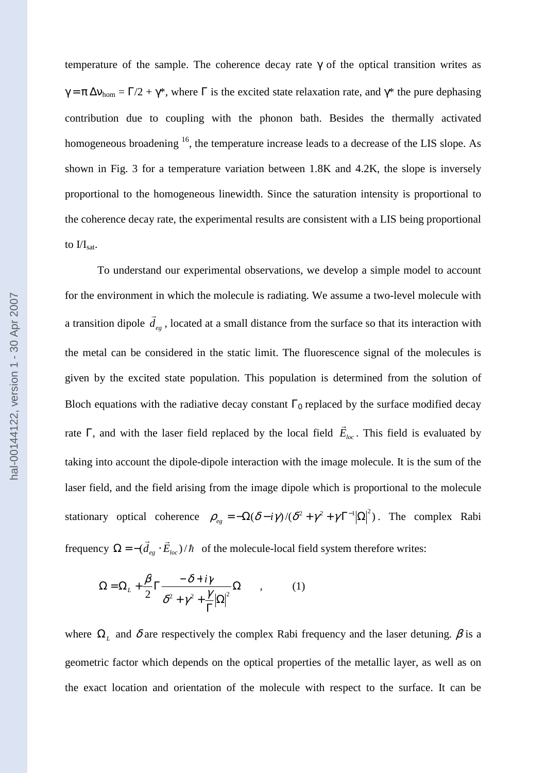temperature of the sample. The coherence decay rate  $\gamma$  of the optical transition writes as  $\gamma = \pi \Delta v_{\text{hom}} = \Gamma/2 + \gamma^*$ , where  $\Gamma$  is the excited state relaxation rate, and  $\gamma^*$  the pure dephasing contribution due to coupling with the phonon bath. Besides the thermally activated homogeneous broadening <sup>16</sup>, the temperature increase leads to a decrease of the LIS slope. As shown in Fig. 3 for a temperature variation between 1.8K and 4.2K, the slope is inversely proportional to the homogeneous linewidth. Since the saturation intensity is proportional to the coherence decay rate, the experimental results are consistent with a LIS being proportional to  $\text{II}_{\text{sat}}$ .

To understand our experimental observations, we develop a simple model to account for the environment in which the molecule is radiating. We assume a two-level molecule with a transition dipole  $d_{eg}$  $\rightarrow$ , located at a small distance from the surface so that its interaction with the metal can be considered in the static limit. The fluorescence signal of the molecules is given by the excited state population. This population is determined from the solution of Bloch equations with the radiative decay constant  $\Gamma_0$  replaced by the surface modified decay rate Γ, and with the laser field replaced by the local field *Eloc*  $\rightarrow$ . This field is evaluated by taking into account the dipole-dipole interaction with the image molecule. It is the sum of the laser field, and the field arising from the image dipole which is proportional to the molecule stationary optical coherence  $\rho_{eg} = -\Omega(\delta - i\gamma)/(\delta^2 + \gamma^2 + \gamma \Gamma^{-1}|\Omega|^2)$ . The complex Rabi frequency  $\Omega = -(\vec{d}_{ee} \cdot \vec{E}_{loc})/\hbar$  $\overline{r}$  $\Omega = -(d_{eg} \cdot E_{loc})/\hbar$  of the molecule-local field system therefore writes:

$$
\Omega = \Omega_L + \frac{\beta}{2} \Gamma \frac{-\delta + i\gamma}{\delta^2 + \gamma^2 + \frac{\gamma}{\Gamma} |\Omega|^2} \Omega \qquad , \qquad (1)
$$

where  $\Omega_L$  and  $\delta$  are respectively the complex Rabi frequency and the laser detuning.  $\beta$  is a geometric factor which depends on the optical properties of the metallic layer, as well as on the exact location and orientation of the molecule with respect to the surface. It can be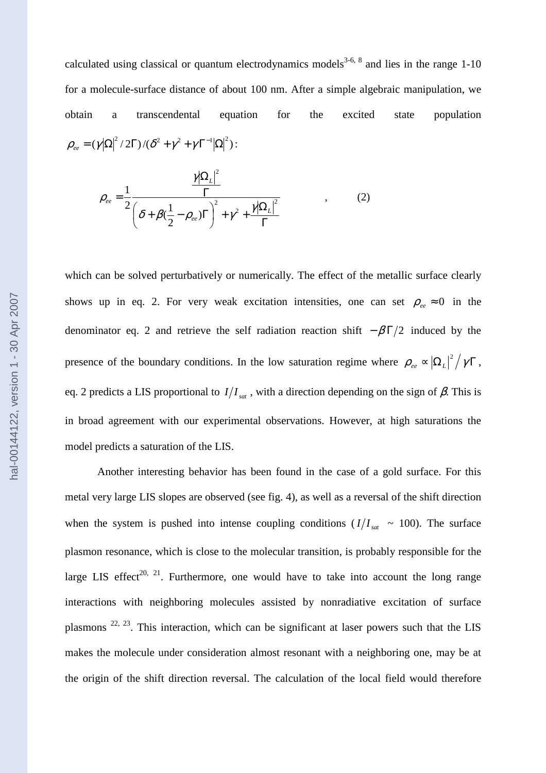calculated using classical or quantum electrodynamics models<sup>3-6, 8</sup> and lies in the range 1-10 for a molecule-surface distance of about 100 nm. After a simple algebraic manipulation, we obtain a transcendental equation for the excited state population  $\rho_{ee} = (\gamma |\Omega|^2 / 2\Gamma) / (\delta^2 + \gamma^2 + \gamma \Gamma^{-1} |\Omega|^2)$ :

$$
\rho_{ee} = \frac{1}{2} \frac{\frac{\gamma |\Omega_L|^2}{\Gamma}}{\left(\delta + \beta(\frac{1}{2} - \rho_{ee})\Gamma\right)^2 + \gamma^2 + \frac{\gamma |\Omega_L|^2}{\Gamma}} \tag{2}
$$

which can be solved perturbatively or numerically. The effect of the metallic surface clearly shows up in eq. 2. For very weak excitation intensities, one can set  $\rho_{ee} \approx 0$  in the denominator eq. 2 and retrieve the self radiation reaction shift  $-\beta\Gamma/2$  induced by the presence of the boundary conditions. In the low saturation regime where  $\rho_{ee} \propto |\Omega_L|^2 / \gamma \Gamma$  $_{ee} \propto \left| \Omega_L \right|^2 / \gamma \Gamma$ , eq. 2 predicts a LIS proportional to  $I/I_{sat}$ , with a direction depending on the sign of  $\beta$ . This is in broad agreement with our experimental observations. However, at high saturations the model predicts a saturation of the LIS.

Another interesting behavior has been found in the case of a gold surface. For this metal very large LIS slopes are observed (see fig. 4), as well as a reversal of the shift direction when the system is pushed into intense coupling conditions  $(I/I<sub>sat</sub> \sim 100)$ . The surface plasmon resonance, which is close to the molecular transition, is probably responsible for the large LIS effect<sup>20, 21</sup>. Furthermore, one would have to take into account the long range interactions with neighboring molecules assisted by nonradiative excitation of surface plasmons  $^{22, 23}$ . This interaction, which can be significant at laser powers such that the LIS makes the molecule under consideration almost resonant with a neighboring one, may be at the origin of the shift direction reversal. The calculation of the local field would therefore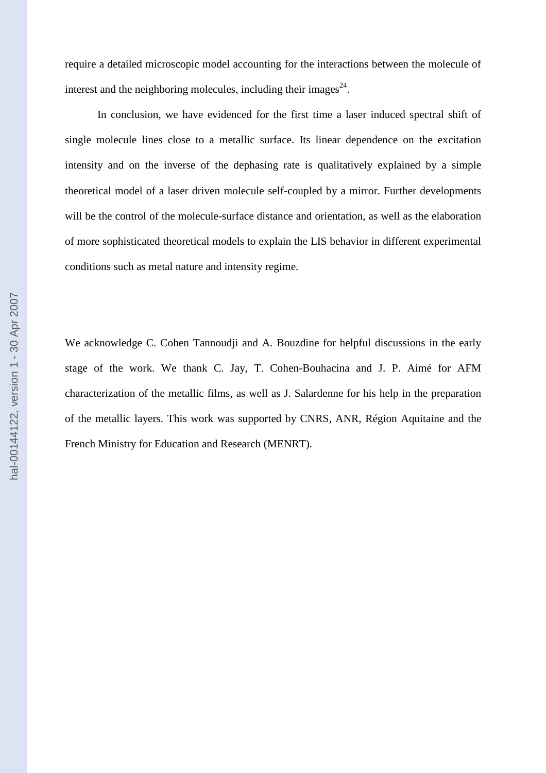require a detailed microscopic model accounting for the interactions between the molecule of interest and the neighboring molecules, including their images $^{24}$ .

In conclusion, we have evidenced for the first time a laser induced spectral shift of single molecule lines close to a metallic surface. Its linear dependence on the excitation intensity and on the inverse of the dephasing rate is qualitatively explained by a simple theoretical model of a laser driven molecule self-coupled by a mirror. Further developments will be the control of the molecule-surface distance and orientation, as well as the elaboration of more sophisticated theoretical models to explain the LIS behavior in different experimental conditions such as metal nature and intensity regime.

We acknowledge C. Cohen Tannoudji and A. Bouzdine for helpful discussions in the early stage of the work. We thank C. Jay, T. Cohen-Bouhacina and J. P. Aimé for AFM characterization of the metallic films, as well as J. Salardenne for his help in the preparation of the metallic layers. This work was supported by CNRS, ANR, Région Aquitaine and the French Ministry for Education and Research (MENRT).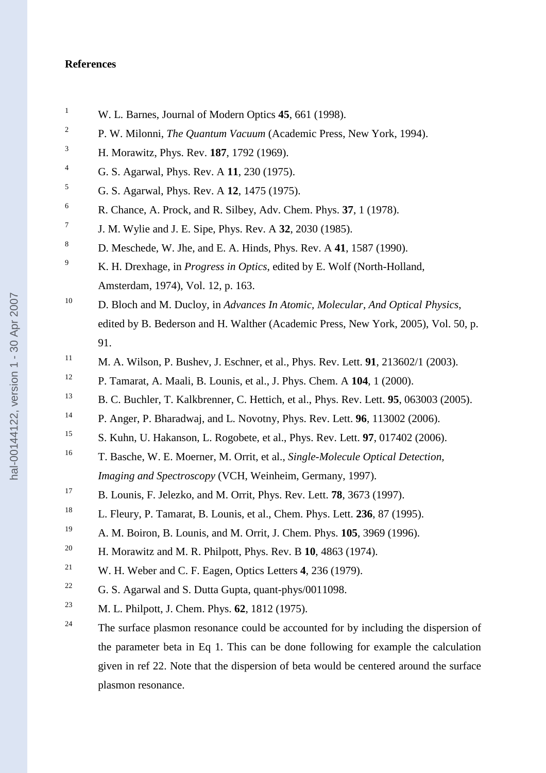## **References**

- <sup>1</sup> W. L. Barnes, Journal of Modern Optics **45**, 661 (1998).
- <sup>2</sup> P. W. Milonni, *The Quantum Vacuum* (Academic Press, New York, 1994).
- <sup>3</sup>H. Morawitz, Phys. Rev. **187**, 1792 (1969).
- <sup>4</sup>G. S. Agarwal, Phys. Rev. A **11**, 230 (1975).
- <sup>5</sup>G. S. Agarwal, Phys. Rev. A **12**, 1475 (1975).
- <sup>6</sup>R. Chance, A. Prock, and R. Silbey, Adv. Chem. Phys. **37**, 1 (1978).
- <sup>7</sup>J. M. Wylie and J. E. Sipe, Phys. Rev. A **32**, 2030 (1985).
- <sup>8</sup>D. Meschede, W. Jhe, and E. A. Hinds, Phys. Rev. A **41**, 1587 (1990).
- <sup>9</sup>K. H. Drexhage, in *Progress in Optics*, edited by E. Wolf (North-Holland, Amsterdam, 1974), Vol. 12, p. 163.
- <sup>10</sup> D. Bloch and M. Ducloy, in *Advances In Atomic, Molecular, And Optical Physics*, edited by B. Bederson and H. Walther (Academic Press, New York, 2005), Vol. 50, p. 91.
- <sup>11</sup> M. A. Wilson, P. Bushev, J. Eschner, et al., Phys. Rev. Lett. **91**, 213602/1 (2003).
- <sup>12</sup> P. Tamarat, A. Maali, B. Lounis, et al., J. Phys. Chem. A **104**, 1 (2000).
- <sup>13</sup>B. C. Buchler, T. Kalkbrenner, C. Hettich, et al., Phys. Rev. Lett. **95**, 063003 (2005).
- <sup>14</sup> P. Anger, P. Bharadwaj, and L. Novotny, Phys. Rev. Lett. **96**, 113002 (2006).
- <sup>15</sup> S. Kuhn, U. Hakanson, L. Rogobete, et al., Phys. Rev. Lett. **97**, 017402 (2006).
- <sup>16</sup> T. Basche, W. E. Moerner, M. Orrit, et al., *Single-Molecule Optical Detection*, *Imaging and Spectroscopy* (VCH, Weinheim, Germany, 1997).
- <sup>17</sup> B. Lounis, F. Jelezko, and M. Orrit, Phys. Rev. Lett. **78**, 3673 (1997).
- <sup>18</sup> L. Fleury, P. Tamarat, B. Lounis, et al., Chem. Phys. Lett. **236**, 87 (1995).
- <sup>19</sup>A. M. Boiron, B. Lounis, and M. Orrit, J. Chem. Phys. **105**, 3969 (1996).
- <sup>20</sup> H. Morawitz and M. R. Philpott, Phys. Rev. B 10, 4863 (1974).
- <sup>21</sup> W. H. Weber and C. F. Eagen, Optics Letters 4, 236 (1979).
- <sup>22</sup> G. S. Agarwal and S. Dutta Gupta, quant-phys/0011098.
- <sup>23</sup> M. L. Philpott, J. Chem. Phys. **62**, 1812 (1975).
- <sup>24</sup> The surface plasmon resonance could be accounted for by including the dispersion of the parameter beta in Eq 1. This can be done following for example the calculation given in ref 22. Note that the dispersion of beta would be centered around the surface plasmon resonance.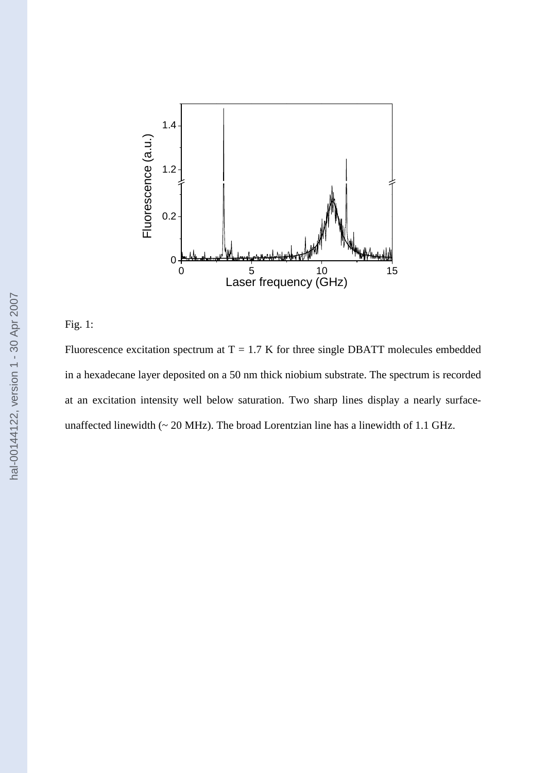

## Fig. 1:

Fluorescence excitation spectrum at  $T = 1.7$  K for three single DBATT molecules embedded in a hexadecane layer deposited on a 50 nm thick niobium substrate. The spectrum is recorded at an excitation intensity well below saturation. Two sharp lines display a nearly surfaceunaffected linewidth (~ 20 MHz). The broad Lorentzian line has a linewidth of 1.1 GHz.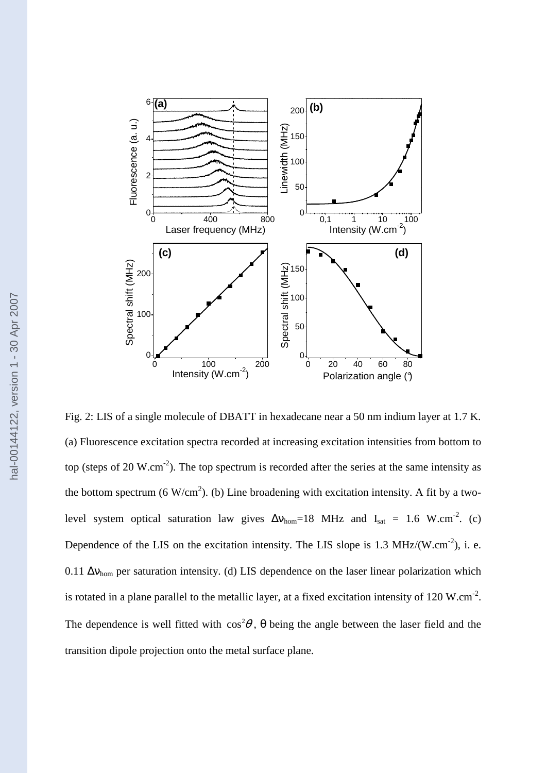

Fig. 2: LIS of a single molecule of DBATT in hexadecane near a 50 nm indium layer at 1.7 K. (a) Fluorescence excitation spectra recorded at increasing excitation intensities from bottom to top (steps of 20 W.cm<sup>-2</sup>). The top spectrum is recorded after the series at the same intensity as the bottom spectrum (6 W/cm<sup>2</sup>). (b) Line broadening with excitation intensity. A fit by a twolevel system optical saturation law gives  $\Delta v_{\text{hom}}=18$  MHz and I<sub>sat</sub> = 1.6 W.cm<sup>-2</sup>. (c) Dependence of the LIS on the excitation intensity. The LIS slope is 1.3 MHz/(W.cm<sup>-2</sup>), i. e. 0.11  $\Delta v_{\text{hom}}$  per saturation intensity. (d) LIS dependence on the laser linear polarization which is rotated in a plane parallel to the metallic layer, at a fixed excitation intensity of 120 W.cm<sup>-2</sup>. The dependence is well fitted with  $\cos^2\theta$ ,  $\theta$  being the angle between the laser field and the transition dipole projection onto the metal surface plane.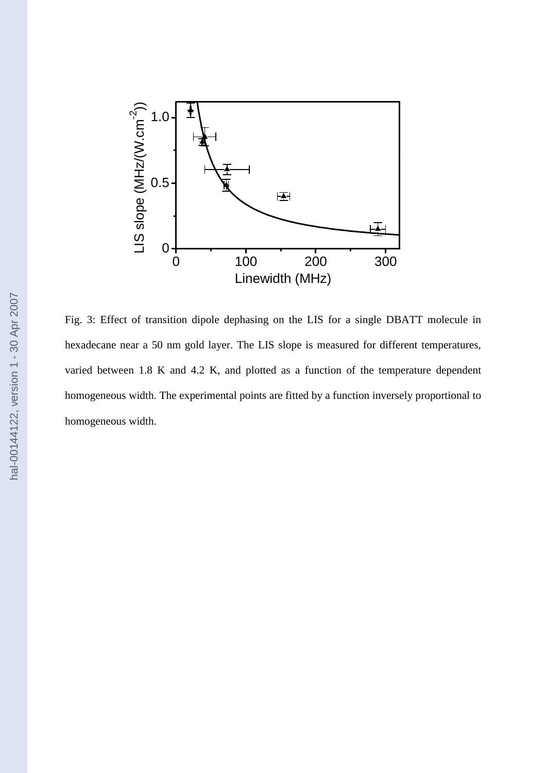

Fig. 3: Effect of transition dipole dephasing on the LIS for a single DBATT molecule in hexadecane near a 50 nm gold layer. The LIS slope is measured for different temperatures, varied between 1.8 K and 4.2 K, and plotted as a function of the temperature dependent homogeneous width. The experimental points are fitted by a function inversely proportional to homogeneous width.